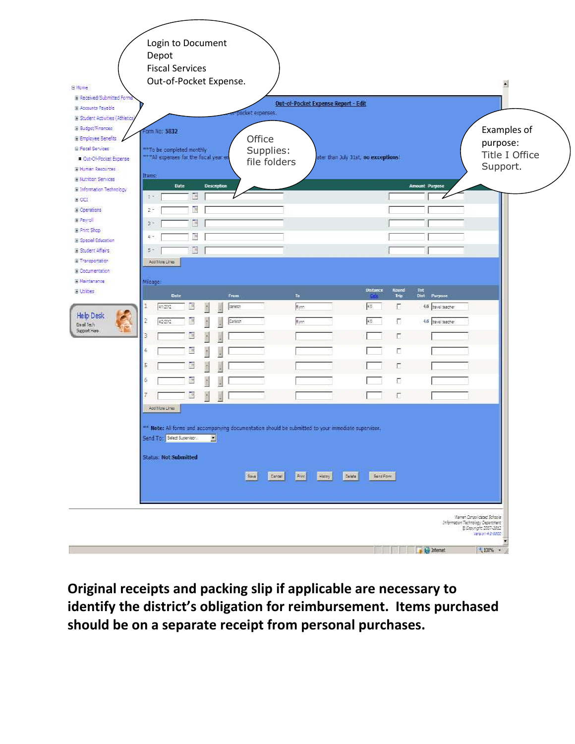| <b>Bi Home</b><br>El Received/Submitted Forms<br>El Accounts Payable<br>El Student Activities (Athletics                                                                                       | Login to Document<br>Depot<br><b>Fiscal Services</b><br>Out-of-Pocket Expense.                                                                                     | Out-of-Pocket Expense Report - Edit<br>pocket expenses. |                                                                       |                                                                                       | Ä                                                      |
|------------------------------------------------------------------------------------------------------------------------------------------------------------------------------------------------|--------------------------------------------------------------------------------------------------------------------------------------------------------------------|---------------------------------------------------------|-----------------------------------------------------------------------|---------------------------------------------------------------------------------------|--------------------------------------------------------|
| El Budget/Finances<br>El Employee Benefits<br><b>El Fiscal Services</b><br><b>In Out-Of-Pecket Expense</b><br><b>III Human Resources</b><br>El Nutrition Services<br>El Information Technology | Form No: 5832<br>** To be completed monthly<br>*** All expenses for the fiscal year en<br>Items:<br>Date<br>Description                                            | Office<br>Supplies:<br>file folders                     | ater than July 31st, no exceptions!                                   | <b>Amount Purpose</b>                                                                 | Examples of<br>purpose:<br>Title I Office<br>Support.  |
| E CCT<br>El Operations<br>Ei Payroll<br>El Print Shop<br>El Special Education<br>Il Student Affairs<br>El Transportation                                                                       | E<br>$2.2\%$<br>E<br>$2 -$<br>E<br>$3 -$<br>E<br>4.<br>E<br>$5+$<br>Add More Lines                                                                                 |                                                         |                                                                       |                                                                                       |                                                        |
| El Occumentation<br>E Naintenance<br><b>Bluddes</b><br><b>Help Desk</b><br>Enial Tech<br>Support Here                                                                                          | Mileage:<br>Date<br>Fram<br>B<br>412212<br>carette<br>1<br>Carleton<br>42212<br>9<br>3                                                                             | Ta<br>E <sub>jon</sub><br>E <sub>pon</sub>              | Distance<br>Round<br>Trip<br>65.<br>п<br>45<br>п<br>Е<br>$\mathbf{I}$ | Tot<br>Dist Purpase<br>4.6 bavel teacher<br>4.6 bavel teacher                         |                                                        |
|                                                                                                                                                                                                | 4<br>5<br>6<br>E<br>Add More Lines                                                                                                                                 |                                                         | п<br>Е<br>г<br>Е                                                      |                                                                                       |                                                        |
|                                                                                                                                                                                                | ** Note: All forms and accompanying documentation should be submitted to your immediate supervisor.<br>Send To: Seled Superison. 1<br><b>Status: Not Submitted</b> | Seve Cangel<br>First History                            | Delete<br>Send Form                                                   |                                                                                       |                                                        |
|                                                                                                                                                                                                |                                                                                                                                                                    |                                                         |                                                                       | Warren Consolidated Schools<br>Information Technology Department<br><b>D</b> Internet | B Copyright 2007-2012<br>Version 4.0.0000<br>$+100%$ + |

**Original receipts and packing slip if applicable are necessary to identify the district's obligation for reimbursement. Items purchased should be on a separate receipt from personal purchases.**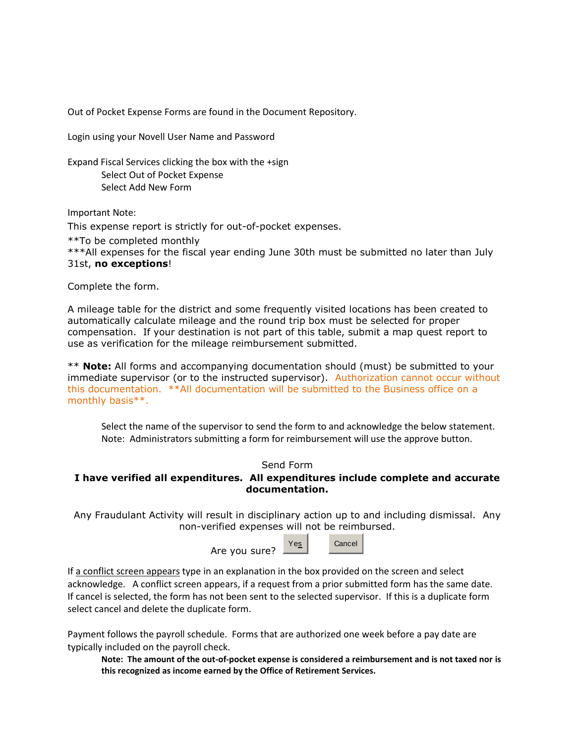Out of Pocket Expense Forms are found in the Document Repository.

Login using your Novell User Name and Password

Expand Fiscal Services clicking the box with the +sign Select Out of Pocket Expense Select Add New Form

Important Note:

This expense report is strictly for out-of-pocket expenses.

\*\*To be completed monthly

\*\*\*All expenses for the fiscal year ending June 30th must be submitted no later than July 31st, **no exceptions**!

Complete the form.

A mileage table for the district and some frequently visited locations has been created to automatically calculate mileage and the round trip box must be selected for proper compensation. If your destination is not part of this table, submit a map quest report to use as verification for the mileage reimbursement submitted.

\*\* **Note:** All forms and accompanying documentation should (must) be submitted to your immediate supervisor (or to the instructed supervisor). Authorization cannot occur without this documentation. \*\*All documentation will be submitted to the Business office on a monthly basis\*\*.

Select the name of the supervisor to send the form to and acknowledge the below statement. Note: Administrators submitting a form for reimbursement will use the approve button.

## Send Form

## **I have verified all expenditures. All expenditures include complete and accurate documentation.**

Any Fraudulant Activity will result in disciplinary action up to and including dismissal. Any non-verified expenses will not be reimbursed.

Are you sure?



If a conflict screen appears type in an explanation in the box provided on the screen and select acknowledge. A conflict screen appears, if a request from a prior submitted form has the same date. If cancel is selected, the form has not been sent to the selected supervisor. If this is a duplicate form select cancel and delete the duplicate form.

Payment follows the payroll schedule. Forms that are authorized one week before a pay date are typically included on the payroll check.

**Note: The amount of the out-of-pocket expense is considered a reimbursement and is not taxed nor is this recognized as income earned by the Office of Retirement Services.**